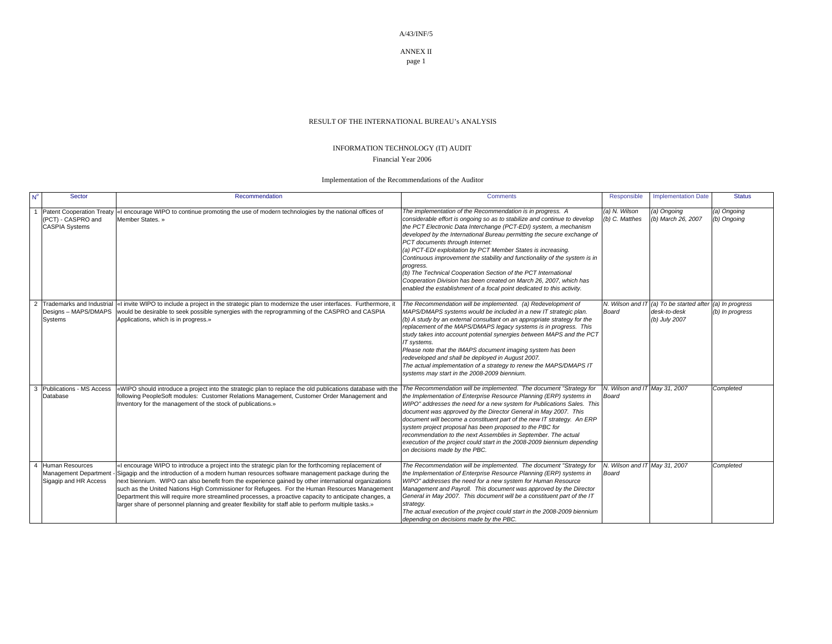ANNEX II

page 1

## RESULT OF THE INTERNATIONAL BUREAU's ANALYSIS

## INFORMATION TECHNOLOGY (IT) AUDIT Financial Year 2006

Implementation of the Recommendations of the Auditor

| $N^{\circ}$    | Sector                                                                   | Recommendation                                                                                                                                                                                                                                                                                                                                                                                                                                                                                                                                                                                                                     | <b>Comments</b>                                                                                                                                                                                                                                                                                                                                                                                                                                                                                                                                                                                                                                                                                         | Responsible                            | <b>Implementation Date</b>                               | <b>Status</b>                      |
|----------------|--------------------------------------------------------------------------|------------------------------------------------------------------------------------------------------------------------------------------------------------------------------------------------------------------------------------------------------------------------------------------------------------------------------------------------------------------------------------------------------------------------------------------------------------------------------------------------------------------------------------------------------------------------------------------------------------------------------------|---------------------------------------------------------------------------------------------------------------------------------------------------------------------------------------------------------------------------------------------------------------------------------------------------------------------------------------------------------------------------------------------------------------------------------------------------------------------------------------------------------------------------------------------------------------------------------------------------------------------------------------------------------------------------------------------------------|----------------------------------------|----------------------------------------------------------|------------------------------------|
|                | Patent Cooperation Treaty<br>(PCT) - CASPRO and<br><b>CASPIA Systems</b> | «I encourage WIPO to continue promoting the use of modern technologies by the national offices of<br>Member States. »                                                                                                                                                                                                                                                                                                                                                                                                                                                                                                              | The implementation of the Recommendation is in progress. A<br>considerable effort is ongoing so as to stabilize and continue to develop<br>the PCT Electronic Data Interchange (PCT-EDI) system, a mechanism<br>developed by the International Bureau permitting the secure exchange of<br>PCT documents through Internet:<br>(a) PCT-EDI exploitation by PCT Member States is increasing.<br>Continuous improvement the stability and functionality of the system is in<br>progress.<br>(b) The Technical Cooperation Section of the PCT International<br>Cooperation Division has been created on March 26, 2007, which has<br>enabled the establishment of a focal point dedicated to this activity. | (a) N. Wilson<br>(b) C. Matthes        | (a) Ongoing<br>(b) March 26, 2007                        | (a) Ongoing<br>(b) Ongoing         |
| 2              | Designs - MAPS/DMAPS<br>Systems                                          | Trademarks and Industrial  «I invite WIPO to include a project in the strategic plan to modernize the user interfaces. Furthermore, it<br>would be desirable to seek possible synergies with the reprogramming of the CASPRO and CASPIA<br>Applications, which is in progress.»                                                                                                                                                                                                                                                                                                                                                    | The Recommendation will be implemented. (a) Redevelopment of<br>MAPS/DMAPS systems would be included in a new IT strategic plan.<br>(b) A study by an external consultant on an appropriate strategy for the<br>replacement of the MAPS/DMAPS legacy systems is in progress. This<br>study takes into account potential synergies between MAPS and the PCT<br>IT systems.<br>Please note that the IMAPS document imaging system has been<br>redeveloped and shall be deployed in August 2007.<br>The actual implementation of a strategy to renew the MAPS/DMAPS IT<br>systems may start in the 2008-2009 biennium.                                                                                     | N. Wilson and I.<br>Board              | (a) To be started after<br>desk-to-desk<br>(b) July 2007 | (a) In progress<br>(b) In progress |
|                | Publications - MS Access<br>Database                                     | «WIPO should introduce a project into the strategic plan to replace the old publications database with the<br>following PeopleSoft modules: Customer Relations Management, Customer Order Management and<br>Inventory for the management of the stock of publications.»                                                                                                                                                                                                                                                                                                                                                            | The Recommendation will be implemented. The document "Strategy for<br>the Implementation of Enterprise Resource Planning (ERP) systems in<br>WIPO" addresses the need for a new system for Publications Sales. This<br>document was approved by the Director General in May 2007. This<br>document will become a constituent part of the new IT strategy. An ERP<br>system project proposal has been proposed to the PBC for<br>recommendation to the next Assemblies in September. The actual<br>execution of the project could start in the 2008-2009 biennium depending<br>on decisions made by the PBC.                                                                                             | N. Wilson and IT May 31, 2007<br>Board |                                                          | Completed                          |
| $\overline{4}$ | Human Resources<br>Management Department<br>Sigagip and HR Access        | «I encourage WIPO to introduce a project into the strategic plan for the forthcoming replacement of<br>Sigagip and the introduction of a modern human resources software management package during the<br>next biennium. WIPO can also benefit from the experience gained by other international organizations<br>such as the United Nations High Commissioner for Refugees. For the Human Resources Management<br>Department this will require more streamlined processes, a proactive capacity to anticipate changes, a<br>larger share of personnel planning and greater flexibility for staff able to perform multiple tasks.» | The Recommendation will be implemented. The document "Strategy for<br>the Implementation of Enterprise Resource Planning (ERP) systems in<br>WIPO" addresses the need for a new system for Human Resource<br>Management and Payroll. This document was approved by the Director<br>General in May 2007. This document will be a constituent part of the IT<br>strategy.<br>The actual execution of the project could start in the 2008-2009 biennium<br>depending on decisions made by the PBC.                                                                                                                                                                                                         | N. Wilson and IT May 31, 2007<br>Board |                                                          | Completed                          |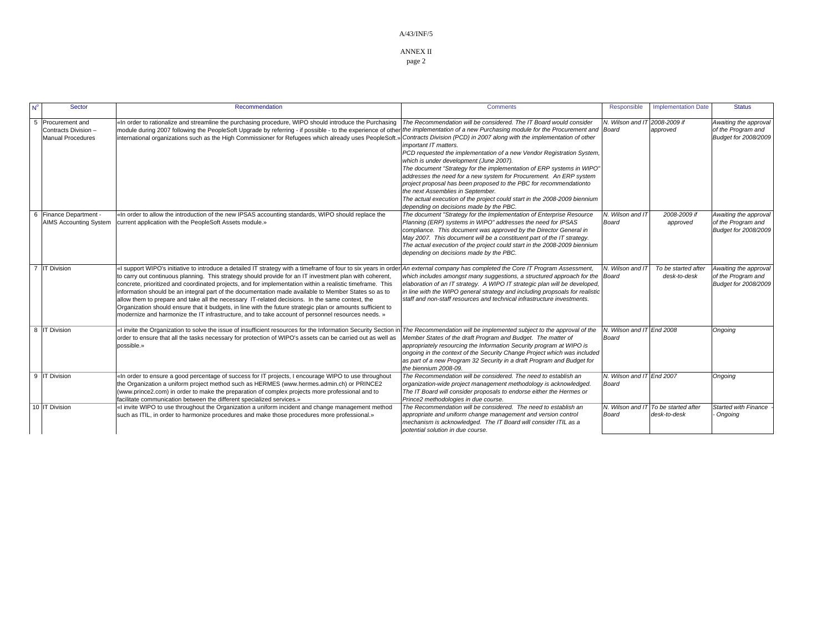ANNEX II

page 2

| Sector                                                               | Recommendation                                                                                                                                                                                                                                                                                                                                                                                                                                                                                                                                                                                                                                                                                                                                                          | <b>Comments</b>                                                                                                                                                                                                                                                                                                                                                                                                                                                                                                                                                                                                                                                              | Responsible                        | <b>Implementation Date</b>          | <b>Status</b>                                                       |
|----------------------------------------------------------------------|-------------------------------------------------------------------------------------------------------------------------------------------------------------------------------------------------------------------------------------------------------------------------------------------------------------------------------------------------------------------------------------------------------------------------------------------------------------------------------------------------------------------------------------------------------------------------------------------------------------------------------------------------------------------------------------------------------------------------------------------------------------------------|------------------------------------------------------------------------------------------------------------------------------------------------------------------------------------------------------------------------------------------------------------------------------------------------------------------------------------------------------------------------------------------------------------------------------------------------------------------------------------------------------------------------------------------------------------------------------------------------------------------------------------------------------------------------------|------------------------------------|-------------------------------------|---------------------------------------------------------------------|
| 5 Procurement and<br>Contracts Division-<br><b>Manual Procedures</b> | «In order to rationalize and streamline the purchasing procedure, WIPO should introduce the Purchasing<br>module during 2007 following the PeopleSoft Upgrade by referring - if possible - to the experience of other the implementation of a new Purchasing module for the Procurement and Board<br>international organizations such as the High Commissioner for Refugees which already uses PeopleSoft.                                                                                                                                                                                                                                                                                                                                                              | The Recommendation will be considered. The IT Board would consider<br>Contracts Division (PCD) in 2007 along with the implementation of other<br>important IT matters.<br>PCD requested the implementation of a new Vendor Registration System,<br>which is under development (June 2007).<br>The document "Strategy for the implementation of ERP systems in WIPO"<br>addresses the need for a new system for Procurement. An ERP system<br>project proposal has been proposed to the PBC for recommendationto<br>the next Assemblies in September.<br>The actual execution of the project could start in the 2008-2009 biennium<br>depending on decisions made by the PBC. | N. Wilson and IT 2008-2009 if      | approved                            | Awaiting the approval<br>of the Program and<br>Budget for 2008/2009 |
| 6 Finance Department -<br><b>AIMS Accounting System</b>              | «In order to allow the introduction of the new IPSAS accounting standards, WIPO should replace the<br>current application with the PeopleSoft Assets module.»                                                                                                                                                                                                                                                                                                                                                                                                                                                                                                                                                                                                           | The document "Strategy for the Implementation of Enterprise Resource<br>Planning (ERP) systems in WIPO" addresses the need for IPSAS<br>compliance. This document was approved by the Director General in<br>May 2007. This document will be a constituent part of the IT strategy.<br>The actual execution of the project could start in the 2008-2009 biennium<br>depending on decisions made by the PBC.                                                                                                                                                                                                                                                                  | N. Wilson and IT<br>Board          | 2008-2009 if<br>approved            | Awaiting the approval<br>of the Program and<br>Budget for 2008/2009 |
| 7 IT Division                                                        | «I support WIPO's initiative to introduce a detailed IT strategy with a timeframe of four to six years in order<br>to carry out continuous planning. This strategy should provide for an IT investment plan with coherent,<br>concrete, prioritized and coordinated projects, and for implementation within a realistic timeframe. This<br>information should be an integral part of the documentation made available to Member States so as to<br>allow them to prepare and take all the necessary IT-related decisions. In the same context, the<br>Organization should ensure that it budgets, in line with the future strategic plan or amounts sufficient to<br>modernize and harmonize the IT infrastructure, and to take account of personnel resources needs. » | An external company has completed the Core IT Program Assessment,<br>which includes amongst many suggestions, a structured approach for the<br>elaboration of an IT strategy. A WIPO IT strategic plan will be developed,<br>in line with the WIPO general strategy and including propsoals for realistic<br>staff and non-staff resources and technical infrastructure investments.                                                                                                                                                                                                                                                                                         | N. Wilson and IT<br>Board          | To be started after<br>desk-to-desk | Awaiting the approval<br>of the Program and<br>Budget for 2008/2009 |
| 8 IT Division                                                        | «I invite the Organization to solve the issue of insufficient resources for the Information Security Section in<br>order to ensure that all the tasks necessary for protection of WIPO's assets can be carried out as well as<br>possible.»                                                                                                                                                                                                                                                                                                                                                                                                                                                                                                                             | The Recommendation will be implemented subject to the approval of the<br>Member States of the draft Program and Budget. The matter of<br>appropriately resourcing the Information Security program at WIPO is<br>ongoing in the context of the Security Change Project which was included<br>as part of a new Program 32 Security in a draft Program and Budget for<br>the biennium 2008-09.                                                                                                                                                                                                                                                                                 | N. Wilson and IT End 2008<br>Board |                                     | Ongoing                                                             |
| 9 IT Division                                                        | «In order to ensure a good percentage of success for IT projects, I encourage WIPO to use throughout<br>the Organization a uniform project method such as HERMES (www.hermes.admin.ch) or PRINCE2<br>(www.prince2.com) in order to make the preparation of complex projects more professional and to<br>facilitate communication between the different specialized services.»                                                                                                                                                                                                                                                                                                                                                                                           | The Recommendation will be considered. The need to establish an<br>organization-wide project management methodology is acknowledged.<br>The IT Board will consider proposals to endorse either the Hermes or<br>Prince2 methodologies in due course.                                                                                                                                                                                                                                                                                                                                                                                                                         | N. Wilson and IT End 2007<br>Board |                                     | Ongoing                                                             |
| 10 IT Division                                                       | «I invite WIPO to use throughout the Organization a uniform incident and change management method<br>such as ITIL, in order to harmonize procedures and make those procedures more professional.»                                                                                                                                                                                                                                                                                                                                                                                                                                                                                                                                                                       | The Recommendation will be considered. The need to establish an<br>appropriate and uniform change management and version control<br>mechanism is acknowledged. The IT Board will consider ITIL as a<br>potential solution in due course.                                                                                                                                                                                                                                                                                                                                                                                                                                     | N. Wilson and IT<br>Board          | To be started after<br>desk-to-desk | <b>Started with Finance</b><br>Ongoing                              |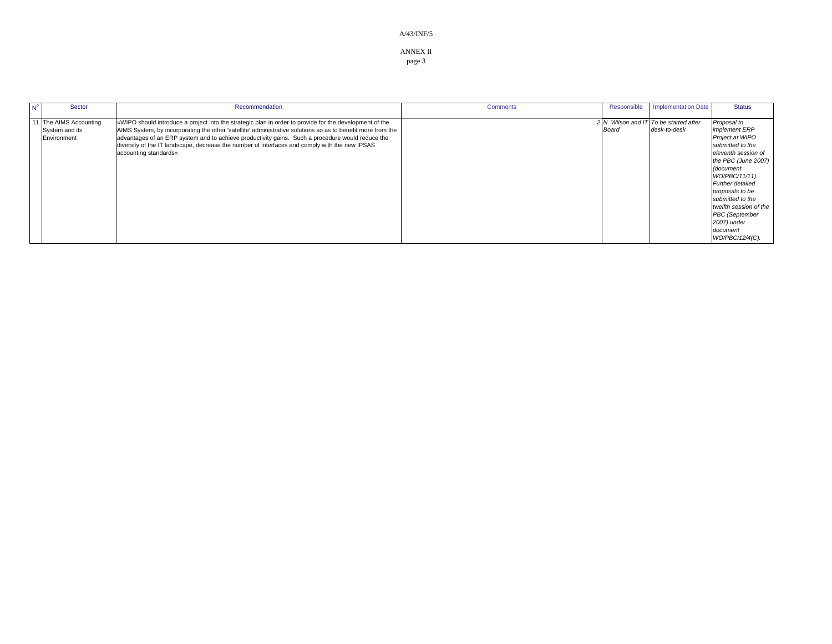ANNEX II

page 3

| $N^{\circ}$ | Sector                | Recommendation                                                                                              | <b>Comments</b> | Responsible | <b>Implementation Date</b>             | <b>Status</b>          |
|-------------|-----------------------|-------------------------------------------------------------------------------------------------------------|-----------------|-------------|----------------------------------------|------------------------|
|             |                       |                                                                                                             |                 |             |                                        |                        |
|             | 1 The AIMS Accounting | wWIPO should introduce a project into the strategic plan in order to provide for the development of the     |                 |             | 2 N. Wilson and IT To be started after | Proposal to            |
|             | System and its        | AIMS System, by incorporating the other 'satellite' administrative solutions so as to benefit more from the |                 | Board       | desk-to-desk                           | <i>implement ERP</i>   |
|             | Environment           | advantages of an ERP system and to achieve productivity gains. Such a procedure would reduce the            |                 |             |                                        | Project at WIPO        |
|             |                       | diversity of the IT landscape, decrease the number of interfaces and comply with the new IPSAS              |                 |             |                                        | submitted to the       |
|             |                       | accounting standards»                                                                                       |                 |             |                                        | eleventh session of    |
|             |                       |                                                                                                             |                 |             |                                        | the PBC (June 2007)    |
|             |                       |                                                                                                             |                 |             |                                        | (document              |
|             |                       |                                                                                                             |                 |             |                                        | WO/PBC/11/11).         |
|             |                       |                                                                                                             |                 |             |                                        | Further detailed       |
|             |                       |                                                                                                             |                 |             |                                        | proposals to be        |
|             |                       |                                                                                                             |                 |             |                                        | submitted to the       |
|             |                       |                                                                                                             |                 |             |                                        | twelfth session of the |
|             |                       |                                                                                                             |                 |             |                                        | <b>PBC</b> (September  |
|             |                       |                                                                                                             |                 |             |                                        | 2007) under            |
|             |                       |                                                                                                             |                 |             |                                        | document               |
|             |                       |                                                                                                             |                 |             |                                        | WO/PBC/12/4(C).        |